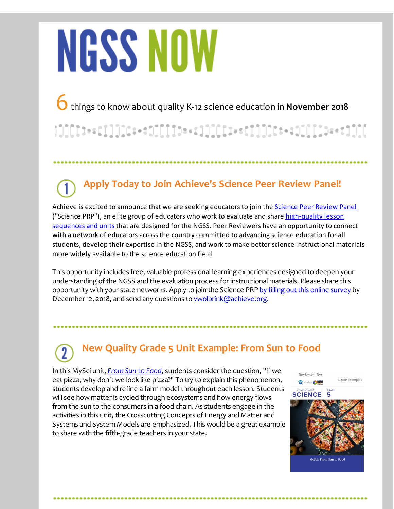# **NGSS NOW**

6things to know about quality K-12 science education in **November <sup>2018</sup>**

### 

## **Apply Today to Join Achieve's Science Peer Review Panel!**

Achieve is excited to announce that we are seeking educators to join the [Science](http://r20.rs6.net/tn.jsp?f=001PEkm0y_TKhCGVrwa-xincktI1Ehv-bABddPMWv1D4hL5bVq35DjRBb49hAYgjyuywyvAQYftTgvTlNvYsud0dvIELa8eevWQfgDsoL6b79rht8KtANwoYeJv6Z0noNVp885WgVGpmBL1wLl6ZoA59Mmyz3l5hvRb43_yOjNuLDWBSFLrl7GMoHNsjxXLnW_0y48914hahf5KZDhYag62loQZkyGWhEHNw5iv5JTYc_DNNfcPO1Xlfw==&c=&ch=) Peer Review Panel ("Science PRP"), an elite group of educators who work to evaluate and share [high-quality](http://r20.rs6.net/tn.jsp?f=001PEkm0y_TKhCGVrwa-xincktI1Ehv-bABddPMWv1D4hL5bVq35DjRBYOR7ElEefIaZHRLX8tn9MBvt8O4a8b98sdcS9tJEmCsjFeIzHgtrl5aBj-TVhIvIHdvP8Qt0B84vwb_3YU62zqij1NDZL0OvwQ5KrmVFTCnO2uhcpgSUGI2VfperVM5ed7AvALlXB9LjcbrEyW0j8esacSeTyFBDbYWrL6THEZxMan41zy1sG0=&c=&ch=) lesson sequences and units that are designed for the NGSS. Peer Reviewers have an opportunity to connect with a network of educators across the country committed to advancing science education for all students, develop their expertise in the NGSS, and work to make betterscience instructional materials more widely available to the science education field.

This opportunity includes free, valuable professional learning experiences designed to deepen your understanding of the NGSS and the evaluation process for instructional materials. Please share this opportunity with your state networks. Apply to join the Science PRP by filling out this online survey by December 12, 2018, and send any questions to **wolbrink@achieve.org**.

## **New Quality Grade 5 Unit Example: From Sun to Food**

In this MySci unit, *[From](http://r20.rs6.net/tn.jsp?f=001PEkm0y_TKhCGVrwa-xincktI1Ehv-bABddPMWv1D4hL5bVq35DjRBeyLbeY47rMbW3rwWh8HjEyBeh3jZZSMN0ZOK5yf1O2JLeOkVOGVpEfpaxcmFUDiLOoVaWmqx7BArZdKjhen969Q8CuaDCJP407oyu7ba_zaEPvMZikCh0GcNmP0gD_gqwsi6HgJD6NtteaSbaQ10pDUiSArEDuv8o9VJpUoTotd&c=&ch=) Sun to Food*, students consider the question, "if we eat pizza, why don't we look like pizza?" To try to explain this phenomenon, students develop and refine a farm model throughout each lesson. Students will see how matter is cycled through ecosystems and how energy flows from the sun to the consumers in a food chain. As students engage in the activities in this unit, the Crosscutting Concepts of Energy and Matter and Systems and System Models are emphasized. This would be a great example to share with the fifth-grade teachers in your state.

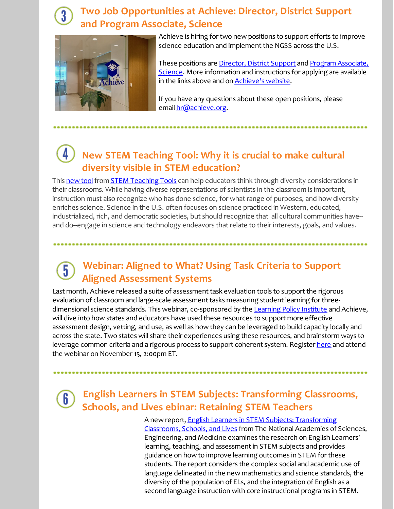#### **Two Job Opportunities at Achieve: Director, District Support and Program Associate, Science**



Achieve is hiring for two new positions to support efforts to improve science education and implement the NGSS across the U.S.

These positions are [Director,](http://r20.rs6.net/tn.jsp?f=001PEkm0y_TKhCGVrwa-xincktI1Ehv-bABddPMWv1D4hL5bVq35DjRBeyLbeY47rMbVYtMJgeTOuXSN9tM4CrF96WFxK0R8hiMCU5o-oZE7ozaqP-dgrg92xoVZzF1v96BSph0ZZgYUX-tE0UyZRV4rmDzCjfktYAnvmtD7RNlgxln4oS5KcCaYli2cXO8OlJOKOpKDq69Wtc=&c=&ch=) District Support and Program Associate, Science. More information and [instructions](http://r20.rs6.net/tn.jsp?f=001PEkm0y_TKhCGVrwa-xincktI1Ehv-bABddPMWv1D4hL5bVq35DjRBeyLbeY47rMb-OQKo0MSGWvuBO7y87vQkLmIMofNeAxh8LVKjXmmvM8jlZkWV8W4uBHIVOO759Z79hscYbNLPAUpLJb15AzgdMruyVDDrqV-tXJLcE4SYCiaoTbqkdyYySat_NOPG25G1loVw_VsQ3g=&c=&ch=) for applying are available in the links above and on **[Achieve's](http://r20.rs6.net/tn.jsp?f=001PEkm0y_TKhCGVrwa-xincktI1Ehv-bABddPMWv1D4hL5bVq35DjRBQGQ3hiaiRj0CSjfag0I_rL1HkLfjOffdwxYiySc-n2jKMpqKBHMvFeTYyszcBJCJFFhe4WtABIwCKJG5C4dpdGZZJN780VL90cbKOchrOo5DdH2DwdMHDHdd0xV-EOCig==&c=&ch=) website**.

If you have any questions about these open positions, please email [hr@achieve.org](mailto:hr@achieve.org).

#### **New STEM Teaching Tool: Why it is crucial to make cultural diversity visible in STEM education?**

This [new](http://r20.rs6.net/tn.jsp?f=001PEkm0y_TKhCGVrwa-xincktI1Ehv-bABddPMWv1D4hL5bVq35DjRBeZ3rF8ygKN8YhS0bL3UpnPcmNOi5JWd8bTsqHwMp6C90AdiYj_T4XZ7JRfd_MTGVrH-NlbN9RDrZXJQ_aTse-0L1jmLzHhLO0BSk-IsuVPBdx2Vx8TdRp2p1kns1iUv_QKJINj23CKR&c=&ch=) tool from STEM [Teaching](http://r20.rs6.net/tn.jsp?f=001PEkm0y_TKhCGVrwa-xincktI1Ehv-bABddPMWv1D4hL5bVq35DjRBfK3Pmd9rRtIq353Hw-QVjgZcbd-c4zOF_dZbD51vGM9NZl8LqRF6eXq1jMD9OlabGQ5XyFAoWhqI-BNO3trAO-gVtJchzyL6I42YwfC0e80QRM0d9GyXHzjotx6d1p-bg==&c=&ch=) Tools can help educators think through diversity considerations in their classrooms. While having diverse representations of scientists in the classroom is important, instruction must also recognize who has done science, for what range of purposes, and how diversity enriches science. Science in the U.S. often focuses on science practiced in Western, educated, industrialized, rich, and democratic societies, but should recognize that all cultural communities have- and do--engage in science and technology endeavors that relate to their interests, goals, and values.

#### **Webinar: Aligned to What? Using Task Criteria to Support**  $\overline{5}$ **Aligned Assessment Systems**

Last month, Achieve released a suite of assessment task evaluation tools to support the rigorous evaluation of classroom and large-scale assessment tasks measuring student learning for three-dimensional science standards. This webinar, co-sponsored by the [Learning](http://r20.rs6.net/tn.jsp?f=001PEkm0y_TKhCGVrwa-xincktI1Ehv-bABddPMWv1D4hL5bVq35DjRBeyLbeY47rMb8x4PCsSWzF21DGp7XmmHi4b5DQoLKoK68wWX28Mboh-aVL-LyKimcuAGEOlXjsnqrtA1ueVa9zsMX7jg4BZAU52UkS8ToFLNQ_0daEBLFvWNBqGPm6pH7ZIr9Wwmu6BK&c=&ch=) Policy Institute and Achieve, will dive into how states and educators have used these resources to support more effective assessment design, vetting, and use, as well as how they can be leveraged to build capacity locally and across the state. Two states will share their experiences using these resources, and brainstorm ways to leverage common criteria and a rigorous process to support co[here](http://r20.rs6.net/tn.jsp?f=001PEkm0y_TKhCGVrwa-xincktI1Ehv-bABddPMWv1D4hL5bVq35DjRBeZ3rF8ygKN8AVnuuPS3sAkjhkaSwjBfaTm8bYXzqB02iu2lS29Lk_RO89yCEfVX9WwadFDIonmTnY_PLXs34gDg5vEU1wQVHexx2ZaFmyNxu9_zpro2x3LiTR_HQ_NR0W_DEyspRth8cctJN33jSEQErUljdW2Sd95qNtUrMJjoGlOsSbC6R1KUZbMCQiW8heaRpYoQ0CVJnLWVsLXfUNcHRVYErGfT9XRbl9kozAJvQhJr6Y92s6_SPh7f2VKulQ==&c=&ch=)nt system. Register here and attend the webinar on November 15, 2:00pm ET.

 $6<sup>1</sup>$ 

#### **English Learners in STEM Subjects: Transforming Classrooms, Schools, and Lives ebinar: Retaining STEM Teachers**

A new report, English Learners in STEM Subjects: [Transforming](http://r20.rs6.net/tn.jsp?f=001PEkm0y_TKhCGVrwa-xincktI1Ehv-bABddPMWv1D4hL5bVq35DjRBeZ3rF8ygKN83IKpymh6j88tBybX6tIuQE8fQzkxZiOFbbGMq3Qkewgcf5XalBib1X8y-jfiUsLXOtRJEcTX4NIahk0sQRqj_qP953-JL3SC2Lv6I5ir9fzxa8z0hDxxbwODybvNZ6gSOT1pvt0mG86xHPvGCX32kpFsiQDHLWJGbHJF8bbEu44tQ0B3HBL5s5mAIEUFcZYgl60lU9NuozZZoGxPXnkN6rJD9UM3nbqJ&c=&ch=) Classrooms, Schools, and Lives from The National Academies of Sciences, Engineering, and Medicine examines the research on English Learners' learning, teaching, and assessment in STEM subjects and provides guidance on how to improve learning outcomes in STEM for these students. The report considers the complex social and academic use of language delineated in the new mathematics and science standards, the diversity of the population of ELs, and the integration of English as a second language instruction with core instructional programs in STEM.